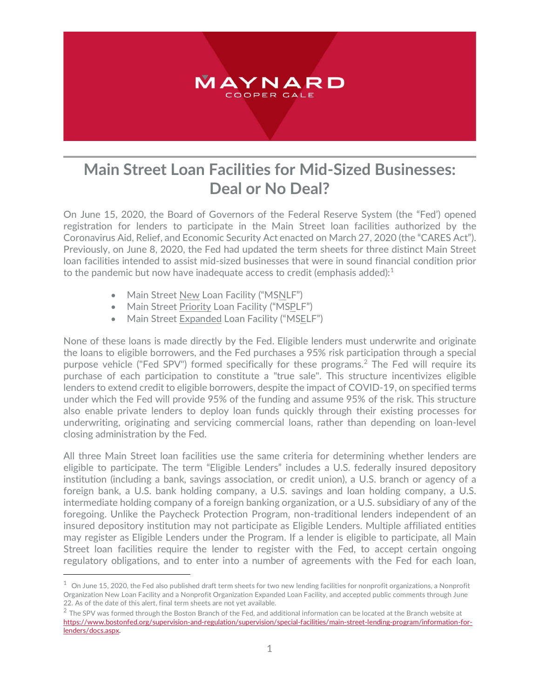

## **Main Street Loan Facilities for Mid-Sized Businesses: Deal or No Deal?**

On June 15, 2020, the Board of Governors of the Federal Reserve System (the "Fed') opened registration for lenders to participate in the Main Street loan facilities authorized by the Coronavirus Aid, Relief, and Economic Security Act enacted on March 27, 2020 (the "CARES Act"). Previously, on June 8, 2020, the Fed had updated the term sheets for three distinct Main Street loan facilities intended to assist mid-sized businesses that were in sound financial condition prior to the pandemic but now have inadequate access to credit (emphasis added): $1$ 

• Main Street New Loan Facility ("MSNLF")

 $\overline{a}$ 

- Main Street Priority Loan Facility ("MSPLF")
- Main Street Expanded Loan Facility ("MSELF")

None of these loans is made directly by the Fed. Eligible lenders must underwrite and originate the loans to eligible borrowers, and the Fed purchases a 95% risk participation through a special purpose vehicle ("Fed SPV") formed specifically for these programs. [2](#page-0-1) The Fed will require its purchase of each participation to constitute a "true sale". This structure incentivizes eligible lenders to extend credit to eligible borrowers, despite the impact of COVID-19, on specified terms under which the Fed will provide 95% of the funding and assume 95% of the risk. This structure also enable private lenders to deploy loan funds quickly through their existing processes for underwriting, originating and servicing commercial loans, rather than depending on loan-level closing administration by the Fed.

All three Main Street loan facilities use the same criteria for determining whether lenders are eligible to participate. The term "Eligible Lenders" includes a U.S. federally insured depository institution (including a bank, savings association, or credit union), a U.S. branch or agency of a foreign bank, a U.S. bank holding company, a U.S. savings and loan holding company, a U.S. intermediate holding company of a foreign banking organization, or a U.S. subsidiary of any of the foregoing. Unlike the Paycheck Protection Program, non-traditional lenders independent of an insured depository institution may not participate as Eligible Lenders. Multiple affiliated entities may register as Eligible Lenders under the Program. If a lender is eligible to participate, all Main Street loan facilities require the lender to register with the Fed, to accept certain ongoing regulatory obligations, and to enter into a number of agreements with the Fed for each loan,

<span id="page-0-0"></span> $^{\rm 1}$  On June 15, 2020, the Fed also published draft term sheets for two new lending facilities for nonprofit organizations, a Nonprofit Organization New Loan Facility and a Nonprofit Organization Expanded Loan Facility, and accepted public comments through June 22. As of the date of this alert, final term sheets are not yet available.

<span id="page-0-1"></span> $2$  The SPV was formed through the Boston Branch of the Fed, and additional information can be located at the Branch website at [https://www.bostonfed.org/supervision-and-regulation/supervision/special-facilities/main-street-lending-program/information-for](https://www.bostonfed.org/supervision-and-regulation/supervision/special-facilities/main-street-lending-program/information-for-lenders/docs.aspx)[lenders/docs.aspx.](https://www.bostonfed.org/supervision-and-regulation/supervision/special-facilities/main-street-lending-program/information-for-lenders/docs.aspx)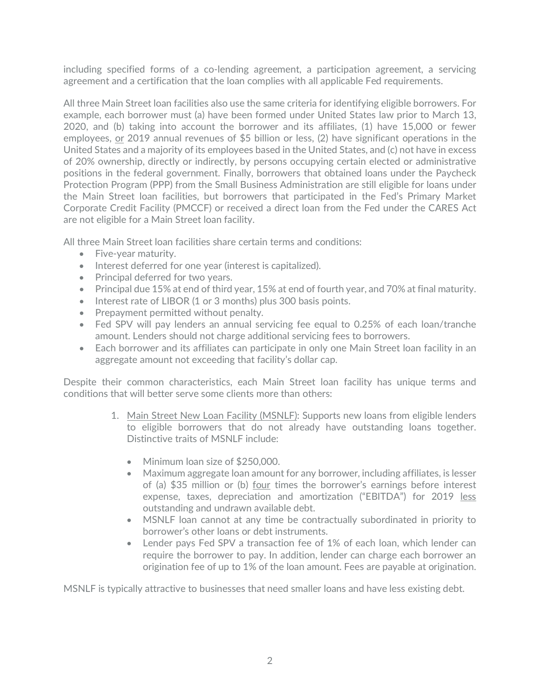including specified forms of a co-lending agreement, a participation agreement, a servicing agreement and a certification that the loan complies with all applicable Fed requirements.

All three Main Street loan facilities also use the same criteria for identifying eligible borrowers. For example, each borrower must (a) have been formed under United States law prior to March 13, 2020, and (b) taking into account the borrower and its affiliates, (1) have 15,000 or fewer employees, or 2019 annual revenues of \$5 billion or less, (2) have significant operations in the United States and a majority of its employees based in the United States, and (c) not have in excess of 20% ownership, directly or indirectly, by persons occupying certain elected or administrative positions in the federal government. Finally, borrowers that obtained loans under the Paycheck Protection Program (PPP) from the Small Business Administration are still eligible for loans under the Main Street loan facilities, but borrowers that participated in the Fed's Primary Market Corporate Credit Facility (PMCCF) or received a direct loan from the Fed under the CARES Act are not eligible for a Main Street loan facility.

All three Main Street loan facilities share certain terms and conditions:

- Five-year maturity.
- Interest deferred for one year (interest is capitalized).
- Principal deferred for two years.
- Principal due 15% at end of third year, 15% at end of fourth year, and 70% at final maturity.
- Interest rate of LIBOR (1 or 3 months) plus 300 basis points.
- Prepayment permitted without penalty.
- Fed SPV will pay lenders an annual servicing fee equal to 0.25% of each loan/tranche amount. Lenders should not charge additional servicing fees to borrowers.
- Each borrower and its affiliates can participate in only one Main Street loan facility in an aggregate amount not exceeding that facility's dollar cap.

Despite their common characteristics, each Main Street loan facility has unique terms and conditions that will better serve some clients more than others:

- 1. Main Street New Loan Facility (MSNLF): Supports new loans from eligible lenders to eligible borrowers that do not already have outstanding loans together. Distinctive traits of MSNLF include:
	- Minimum loan size of \$250,000.
	- Maximum aggregate loan amount for any borrower, including affiliates, is lesser of (a) \$35 million or (b) four times the borrower's earnings before interest expense, taxes, depreciation and amortization ("EBITDA") for 2019 less outstanding and undrawn available debt.
	- MSNLF loan cannot at any time be contractually subordinated in priority to borrower's other loans or debt instruments.
	- Lender pays Fed SPV a transaction fee of 1% of each loan, which lender can require the borrower to pay. In addition, lender can charge each borrower an origination fee of up to 1% of the loan amount. Fees are payable at origination.

MSNLF is typically attractive to businesses that need smaller loans and have less existing debt.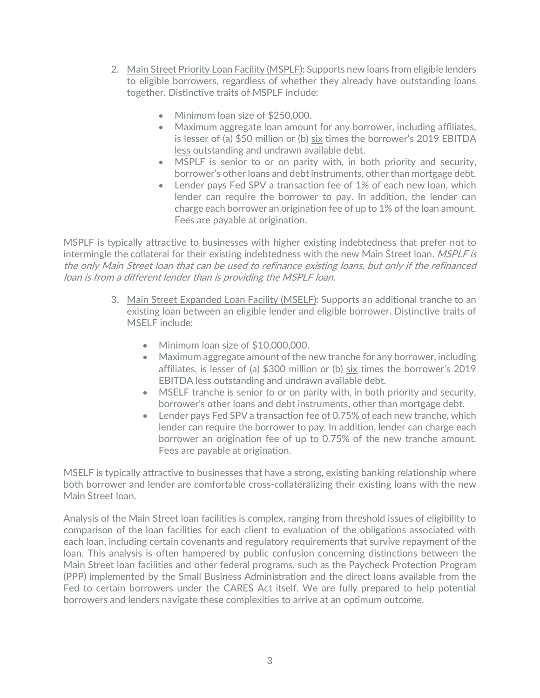- 2. Main Street Priority Loan Facility (MSPLF): Supports new loans from eligible lenders to eligible borrowers, regardless of whether they already have outstanding loans together. Distinctive traits of MSPLF include:
	- Minimum loan size of \$250,000.
	- Maximum aggregate loan amount for any borrower, including affiliates, is lesser of (a) \$50 million or (b) six times the borrower's 2019 EBITDA less outstanding and undrawn available debt.
	- MSPLF is senior to or on parity with, in both priority and security, borrower's other loans and debt instruments, other than mortgage debt.
	- Lender pays Fed SPV a transaction fee of 1% of each new loan, which lender can require the borrower to pay. In addition, the lender can charge each borrower an origination fee of up to 1% of the loan amount. Fees are payable at origination.

MSPLF is typically attractive to businesses with higher existing indebtedness that prefer not to intermingle the collateral for their existing indebtedness with the new Main Street loan. *MSPLF is* the only Main Street loan that can be used to refinance existing loans, but only if the refinanced loan is from a different lender than is providing the MSPLF loan.

- 3. Main Street Expanded Loan Facility (MSELF): Supports an additional tranche to an existing loan between an eligible lender and eligible borrower. Distinctive traits of MSELF include:
	- Minimum loan size of \$10,000,000.
	- Maximum aggregate amount of the new tranche for any borrower, including affiliates, is lesser of (a) \$300 million or (b) six times the borrower's 2019 EBITDA less outstanding and undrawn available debt.
	- MSELF tranche is senior to or on parity with, in both priority and security, borrower's other loans and debt instruments, other than mortgage debt.
	- Lender pays Fed SPV a transaction fee of 0.75% of each new tranche, which lender can require the borrower to pay. In addition, lender can charge each borrower an origination fee of up to 0.75% of the new tranche amount. Fees are payable at origination.

MSELF is typically attractive to businesses that have a strong, existing banking relationship where both borrower and lender are comfortable cross-collateralizing their existing loans with the new Main Street loan.

Analysis of the Main Street loan facilities is complex, ranging from threshold issues of eligibility to comparison of the loan facilities for each client to evaluation of the obligations associated with each loan, including certain covenants and regulatory requirements that survive repayment of the loan. This analysis is often hampered by public confusion concerning distinctions between the Main Street loan facilities and other federal programs, such as the Paycheck Protection Program (PPP) implemented by the Small Business Administration and the direct loans available from the Fed to certain borrowers under the CARES Act itself. We are fully prepared to help potential borrowers and lenders navigate these complexities to arrive at an optimum outcome.